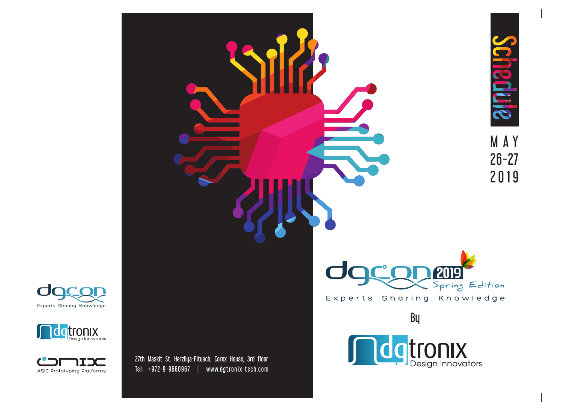





27th Maskit St. Herzliya-Pituach, Corex House, 3rd floor  $Tel: +972-9-9660967$  | www.dgtronix-tech.com



Experts Sharing Knowledge

By

**ndgtronix**<br>Design Innovators